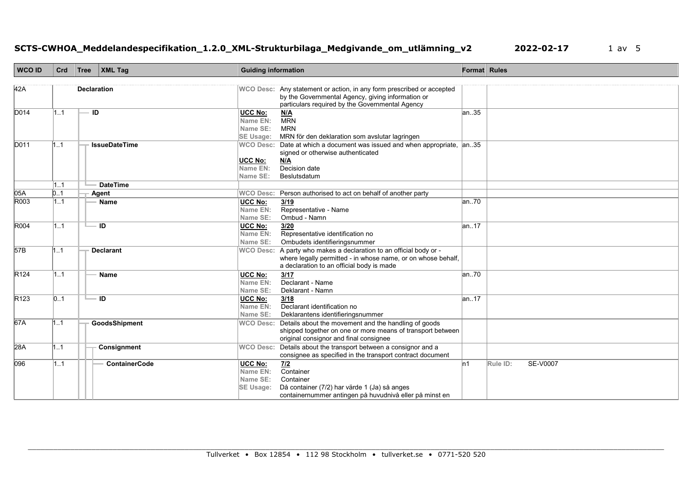# **SCTS-CWHOA\_Meddelandespecifikation\_1.2.0\_XML-Strukturbilaga\_Medgivande\_om\_utlämning\_v2 2022-02-17** 1 av 5

| <b>WCO ID</b>    | Crd | Tree               | <b>XML Tag</b>       | <b>Guiding information</b>                          |                                                                                                                                                                                        | Format Rules |                             |
|------------------|-----|--------------------|----------------------|-----------------------------------------------------|----------------------------------------------------------------------------------------------------------------------------------------------------------------------------------------|--------------|-----------------------------|
| 42A              |     | <b>Declaration</b> |                      |                                                     | WCO Desc: Any statement or action, in any form prescribed or accepted<br>by the Governmental Agency, giving information or<br>particulars required by the Governmental Agency          |              |                             |
| D014             | 1.1 | ID                 |                      | UCC No:<br>Name EN:<br>Name SE:<br><b>SE Usage:</b> | N/A<br><b>MRN</b><br><b>MRN</b><br>MRN för den deklaration som avslutar lagringen                                                                                                      | lan35        |                             |
| D011             | 1.1 |                    | <b>IssueDateTime</b> | <b>WCO Desc:</b><br>UCC No:<br>Name EN:<br>Name SE: | Date at which a document was issued and when appropriate,<br>signed or otherwise authenticated<br>M/A<br>Decision date<br>Beslutsdatum                                                 | an35         |                             |
|                  | 1.1 |                    | <b>DateTime</b>      |                                                     |                                                                                                                                                                                        |              |                             |
| 05A              | 0.1 |                    | Agent                |                                                     | WCO Desc: Person authorised to act on behalf of another party                                                                                                                          |              |                             |
| R003             | 1.1 |                    | <b>Name</b>          | UCC No:<br>Name EN:<br>Name SE:                     | 3/19<br>Representative - Name<br>Ombud - Namn                                                                                                                                          | lan70        |                             |
| R004             | 1.1 | $\blacksquare$ ID  |                      | UCC No:<br>Name EN:<br>Name SE:                     | 3/20<br>Representative identification no<br>Ombudets identifieringsnummer                                                                                                              | lan17        |                             |
| 57B              | 1.1 |                    | <b>Declarant</b>     | <b>WCO Desc:</b>                                    | A party who makes a declaration to an official body or -<br>where legally permitted - in whose name, or on whose behalf,<br>a declaration to an official body is made                  |              |                             |
| R <sub>124</sub> | 1.1 |                    | <b>Name</b>          | <b>UCC No:</b><br>Name EN:<br>Name SE:              | 3/17<br>Declarant - Name<br>Deklarant - Namn                                                                                                                                           | an70         |                             |
| R <sub>123</sub> | 01  |                    | $=$ ID               | UCC No:<br>Name EN:<br>Name SE:                     | 3/18<br>Declarant identification no<br>Deklarantens identifieringsnummer                                                                                                               | lan17        |                             |
| 67A              | 1.1 |                    | GoodsShipment        | <b>WCO Desc:</b>                                    | Details about the movement and the handling of goods<br>shipped together on one or more means of transport between<br>original consignor and final consignee                           |              |                             |
| 28A              | 1.1 |                    | Consignment          |                                                     | WCO Desc: Details about the transport between a consignor and a<br>consignee as specified in the transport contract document                                                           |              |                             |
| 096              | 1.1 |                    | <b>ContainerCode</b> | <b>UCC No:</b><br>Name EN:<br>Name SE:<br>SE Usage: | $\begin{array}{c}\n\hline\n\frac{7}{2} \\ \hline\n\end{array}$<br>Container<br>Då container (7/2) har värde 1 (Ja) så anges<br>containernummer antingen på huvudnivå eller på minst en | ln 1         | Rule ID:<br><b>SE-V0007</b> |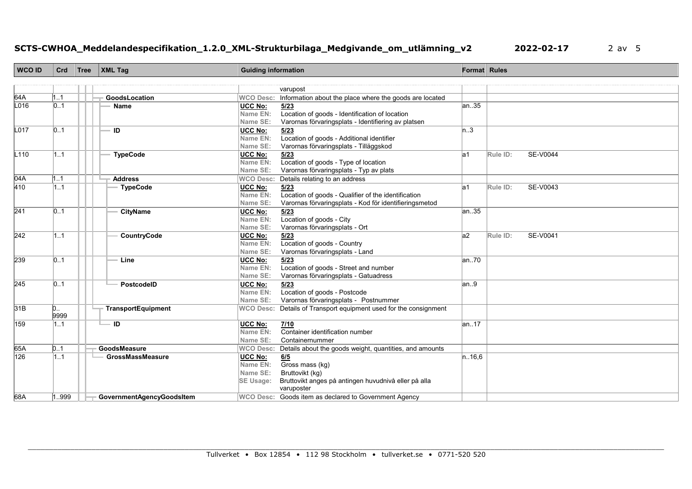# **SCTS-CWHOA\_Meddelandespecifikation\_1.2.0\_XML-Strukturbilaga\_Medgivande\_om\_utlämning\_v2 2022-02-17** 2 av 5

| <b>WCO ID</b> | Crd            | Tree | <b>XML Tag</b>            | <b>Guiding information</b> |                                                         | Format Rules |                             |
|---------------|----------------|------|---------------------------|----------------------------|---------------------------------------------------------|--------------|-----------------------------|
|               |                |      |                           |                            |                                                         |              |                             |
|               |                |      |                           |                            | varupost                                                |              |                             |
| 64A           | 1.1            |      | GoodsLocation             | <b>WCO Desc:</b>           | Information about the place where the goods are located |              |                             |
| L016          | 0.1            |      | <b>Name</b>               | <b>UCC No:</b>             | 5/23                                                    | an35         |                             |
|               |                |      |                           | Name EN:                   | Location of goods - Identification of location          |              |                             |
|               |                |      |                           | Name SE:                   | Varornas förvaringsplats - Identifiering av platsen     |              |                             |
| L017          | 0.1            |      | ID                        | <b>UCC No:</b>             | 5/23                                                    | n.3          |                             |
|               |                |      |                           | Name EN:<br>Name SE:       | Location of goods - Additional identifier               |              |                             |
| L110          | 1.1            |      | <b>TypeCode</b>           | <b>UCC No:</b>             | Varornas förvaringsplats - Tilläggskod                  | la1          | <b>SE-V0044</b><br>Rule ID: |
|               |                |      |                           | Name EN:                   | 5/23<br>Location of goods - Type of location            |              |                             |
|               |                |      |                           | Name SE:                   | Varornas förvaringsplats - Typ av plats                 |              |                             |
| 04A           | 1.1            |      | <b>Address</b>            | <b>WCO Desc:</b>           | Details relating to an address                          |              |                             |
| 410           | 1.1            |      | <b>TypeCode</b>           | <b>UCC No:</b>             | 5/23                                                    | la1          | SE-V0043<br>Rule ID:        |
|               |                |      |                           | Name EN:                   | Location of goods - Qualifier of the identification     |              |                             |
|               |                |      |                           | Name SE:                   | Varornas förvaringsplats - Kod för identifieringsmetod  |              |                             |
| 241           | 01             |      | <b>CityName</b>           | <b>UCC No:</b>             | 5/23                                                    | lan35        |                             |
|               |                |      |                           | <b>Name EN:</b>            | Location of goods - City                                |              |                             |
|               |                |      |                           | Name SE:                   | Varornas förvaringsplats - Ort                          |              |                             |
| 242           | 11             |      | CountryCode               | <b>UCC No:</b>             | 5/23                                                    | a2           | SE-V0041<br>Rule ID:        |
|               |                |      |                           | Name EN:                   | Location of goods - Country                             |              |                             |
|               |                |      |                           | Name SE:                   | Varornas förvaringsplats - Land                         |              |                             |
| 239           | 0.1            |      | Line                      | <b>UCC No:</b>             | 5/23                                                    | an70         |                             |
|               |                |      |                           | Name EN:                   | Location of goods - Street and number                   |              |                             |
|               |                |      |                           | Name SE:                   | Varornas förvaringsplats - Gatuadress                   |              |                             |
| 245           | 0.1            |      | PostcodelD                | <b>UCC No:</b>             | 5/23                                                    | an.9         |                             |
|               |                |      |                           | Name EN:                   | Location of goods - Postcode                            |              |                             |
|               |                |      |                           | Name SE:                   | Varornas förvaringsplats - Postnummer                   |              |                             |
| 31B           | $\mathsf{D}$ . |      | <b>TransportEquipment</b> | <b>WCO Desc:</b>           | Details of Transport equipment used for the consignment |              |                             |
|               | 9999           |      |                           |                            |                                                         |              |                             |
| 159           | 1.1            |      | — ID                      | UCC No:                    | 7/10                                                    | lan17        |                             |
|               |                |      |                           | <b>Name EN:</b>            | Container identification number                         |              |                             |
|               |                |      |                           | Name SE:                   | Containernummer                                         |              |                             |
| 65A           | D1             |      | GoodsMeasure              | <b>WCO Desc:</b>           | Details about the goods weight, quantities, and amounts |              |                             |
| 126           | 1.1            |      | <b>GrossMassMeasure</b>   | <b>UCC No:</b>             | 6/5                                                     | n.16.6       |                             |
|               |                |      |                           | Name EN:                   | Gross mass (kg)                                         |              |                             |
|               |                |      |                           | Name SE:                   | Bruttovikt (kg)                                         |              |                             |
|               |                |      |                           | <b>SE Usage:</b>           | Bruttovikt anges på antingen huvudnivå eller på alla    |              |                             |
|               |                |      |                           |                            | varuposter                                              |              |                             |
| 68A           | 1999           |      | GovernmentAgencyGoodsItem |                            | WCO Desc: Goods item as declared to Government Agency   |              |                             |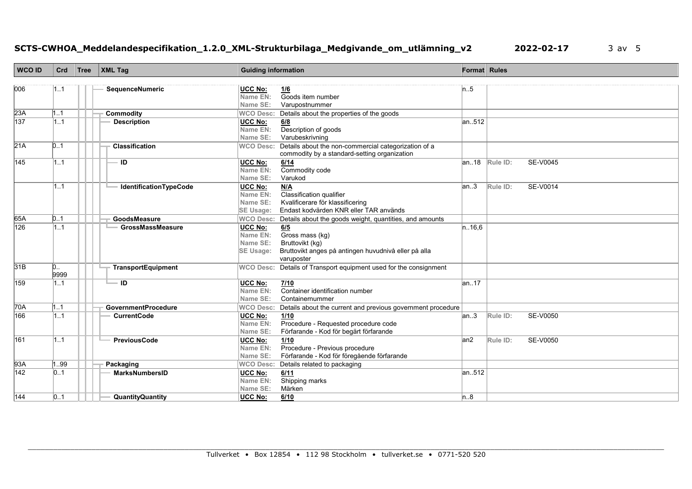# **SCTS-CWHOA\_Meddelandespecifikation\_1.2.0\_XML-Strukturbilaga\_Medgivande\_om\_utlämning\_v2 2022-02-17** 3 av 5

| <b>WCO ID</b> | Crd                    | Tree | $\vert$ XML Tag            | <b>Guiding information</b>                                                                                                                                                    |        | Format Rules                          |  |
|---------------|------------------------|------|----------------------------|-------------------------------------------------------------------------------------------------------------------------------------------------------------------------------|--------|---------------------------------------|--|
| 006           | 1.1                    |      | SequenceNumeric            | <b>UCC No:</b><br>1/6<br>Goods item number<br>Name EN:                                                                                                                        | n.5    |                                       |  |
|               |                        |      |                            | Name SE:<br>Varupostnummer                                                                                                                                                    |        |                                       |  |
| 23A           | 1.1                    |      | <b>Commodity</b>           | Details about the properties of the goods<br><b>WCO Desc:</b>                                                                                                                 |        |                                       |  |
| 137           | 1.1                    |      | <b>Description</b>         | UCC No:<br>6/8<br>Description of goods<br>Name EN:<br>Varubeskrivning<br>Name SE:                                                                                             | an512  |                                       |  |
| 21A           | D1                     |      | <b>Classification</b>      | Details about the non-commercial categorization of a<br><b>WCO Desc:</b><br>commodity by a standard-setting organization                                                      |        |                                       |  |
| 145           | 11                     |      | ID                         | UCC No:<br>6/14<br>Commodity code<br>Name EN:<br>Name SE:<br>Varukod                                                                                                          |        | <b>SE-V0045</b><br>$ an.18 $ Rule ID: |  |
|               | 1.1                    |      | IdentificationTypeCode     | UCC No:<br>N/A<br>Name EN:<br>Classification qualifier<br>Kvalificerare för klassificering<br>Name SE:<br>Endast kodvärden KNR eller TAR används<br><b>SE Usage:</b>          | an.3   | SE-V0014<br>Rule ID:                  |  |
| 65A           | D1                     |      | GoodsMeasure               | Details about the goods weight, quantities, and amounts<br><b>WCO Desc:</b>                                                                                                   |        |                                       |  |
| 126           | 1.1                    |      | <b>GrossMassMeasure</b>    | <b>UCC No:</b><br>6/5<br>Gross mass (kg)<br>Name EN:<br>Name SE:<br>Bruttovikt (kg)<br>Bruttovikt anges på antingen huvudnivå eller på alla<br><b>SE Usage:</b><br>varuposter | n.16.6 |                                       |  |
| 31B           | $\mathsf{D}$ .<br>9999 |      | TransportEquipment         | WCO Desc: Details of Transport equipment used for the consignment                                                                                                             |        |                                       |  |
| 159           | 1.1                    |      | ID                         | UCC No:<br>7/10<br>Name EN:<br>Container identification number<br>Name SE:<br>Containernummer                                                                                 | an17   |                                       |  |
| 70A           | 1.1                    |      | <b>GovernmentProcedure</b> | <b>WCO Desc:</b><br>Details about the current and previous government procedure                                                                                               |        |                                       |  |
| 166           | 1.1                    |      | <b>CurrentCode</b>         | UCC No:<br>1/10<br>Procedure - Requested procedure code<br>Name EN:<br>Name SE:<br>Förfarande - Kod för begärt förfarande                                                     | an.3   | SE-V0050<br>Rule ID:                  |  |
| 161           | 1.1                    |      | PreviousCode               | <b>UCC No:</b><br>1/10<br>Name EN:<br>Procedure - Previous procedure<br>Förfarande - Kod för föregående förfarande<br>Name SE:                                                | an2    | <b>SE-V0050</b><br>Rule ID:           |  |
| 93A           | 1.99                   |      | Packaging                  | Details related to packaging<br><b>WCO Desc:</b>                                                                                                                              |        |                                       |  |
| 142           | 01                     |      | <b>MarksNumbersID</b>      | <b>UCC No:</b><br>6/11<br>Shipping marks<br>Name EN:<br>Name SE:<br>Märken                                                                                                    | an512  |                                       |  |
| 144           | 01                     |      | <b>QuantityQuantity</b>    | <b>UCC No:</b><br>6/10                                                                                                                                                        | n.8    |                                       |  |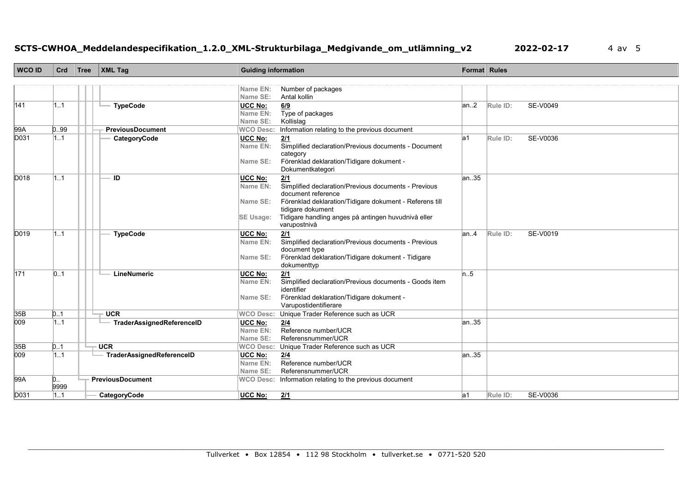# **SCTS-CWHOA\_Meddelandespecifikation\_1.2.0\_XML-Strukturbilaga\_Medgivande\_om\_utlämning\_v2 2022-02-17** 4 av 5

| <b>WCO ID</b> | Crd            | $\mathsf{Tree}$ | <b>XML Tag</b>            | <b>Guiding information</b>   |                                                                     | Format Rules |          |          |
|---------------|----------------|-----------------|---------------------------|------------------------------|---------------------------------------------------------------------|--------------|----------|----------|
|               |                |                 |                           |                              |                                                                     |              |          |          |
|               |                |                 |                           | Name EN:                     | Number of packages                                                  |              |          |          |
|               |                |                 |                           | Name SE:                     | Antal kollin                                                        |              |          |          |
| 141           | 11             |                 | <b>TypeCode</b>           | <b>UCC No:</b>               | 6/9                                                                 | an.2         | Rule ID: | SE-V0049 |
|               |                |                 |                           | Name EN:                     | Type of packages                                                    |              |          |          |
| 99A           | 0.99           |                 | <b>PreviousDocument</b>   | Name SE:<br><b>WCO Desc:</b> | Kollislag<br>Information relating to the previous document          |              |          |          |
| D031          | 1.1            |                 | CategoryCode              | <b>UCC No:</b>               | 2/1                                                                 | la1          | Rule ID: | SE-V0036 |
|               |                |                 |                           | Name EN:                     | Simplified declaration/Previous documents - Document                |              |          |          |
|               |                |                 |                           |                              | category                                                            |              |          |          |
|               |                |                 |                           | Name SE:                     | Förenklad deklaration/Tidigare dokument -                           |              |          |          |
|               |                |                 |                           |                              | Dokumentkategori                                                    |              |          |          |
| D018          | 11             |                 | ID                        | UCC No:                      | 2/1                                                                 | an35         |          |          |
|               |                |                 |                           | Name EN:                     | Simplified declaration/Previous documents - Previous                |              |          |          |
|               |                |                 |                           |                              | document reference                                                  |              |          |          |
|               |                |                 |                           | Name SE:                     | Förenklad deklaration/Tidigare dokument - Referens till             |              |          |          |
|               |                |                 |                           |                              | tidigare dokument                                                   |              |          |          |
|               |                |                 |                           | <b>SE Usage:</b>             | Tidigare handling anges på antingen huvudnivå eller<br>varupostnivå |              |          |          |
| D019          | 11             |                 | <b>TypeCode</b>           |                              |                                                                     | lan4         | Rule ID: | SE-V0019 |
|               |                |                 |                           | UCC No:<br>Name EN:          | 2/1<br>Simplified declaration/Previous documents - Previous         |              |          |          |
|               |                |                 |                           |                              | document type                                                       |              |          |          |
|               |                |                 |                           | Name SE:                     | Förenklad deklaration/Tidigare dokument - Tidigare                  |              |          |          |
|               |                |                 |                           |                              | dokumenttyp                                                         |              |          |          |
| 171           | 0.1            |                 | LineNumeric               | UCC No:                      | 2/1                                                                 | n.5          |          |          |
|               |                |                 |                           | Name EN:                     | Simplified declaration/Previous documents - Goods item              |              |          |          |
|               |                |                 |                           |                              | identifier                                                          |              |          |          |
|               |                |                 |                           | Name SE:                     | Förenklad deklaration/Tidigare dokument -                           |              |          |          |
|               |                |                 |                           |                              | Varupostidentifierare                                               |              |          |          |
| 35B           | 0.1            |                 | <b>UCR</b>                | <b>WCO Desc:</b>             | Unique Trader Reference such as UCR                                 |              |          |          |
| 009           | 11             |                 | TraderAssignedReferenceID | UCC No:<br>Name EN:          | 2/4<br>Reference number/UCR                                         | lan35        |          |          |
|               |                |                 |                           | Name SE:                     | Referensnummer/UCR                                                  |              |          |          |
| 35B           | 0.1            |                 | <b>UCR</b>                | <b>WCO Desc:</b>             | Unique Trader Reference such as UCR                                 |              |          |          |
| 009           | 1.1            |                 | TraderAssignedReferenceID | <b>UCC No:</b>               | 2/4                                                                 | lan35        |          |          |
|               |                |                 |                           | Name EN:                     | Reference number/UCR                                                |              |          |          |
|               |                |                 |                           | Name SE:                     | Referensnummer/UCR                                                  |              |          |          |
| 99A           | $\mathsf{D}$ . |                 | PreviousDocument          |                              | WCO Desc: Information relating to the previous document             |              |          |          |
|               | 9999           |                 |                           |                              |                                                                     |              |          |          |
| D031          | 1.1            |                 | CategoryCode              | <b>UCC No:</b>               | 2/1                                                                 | la1          | Rule ID: | SE-V0036 |